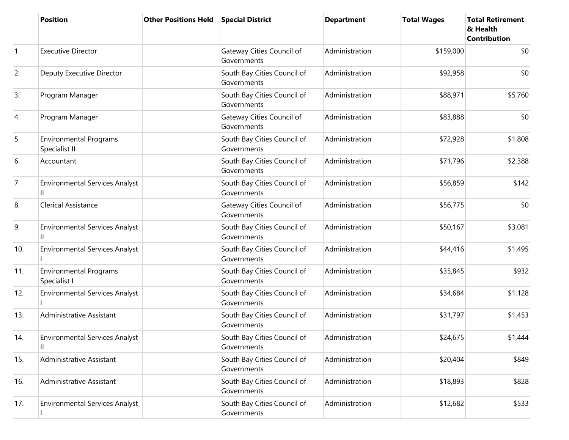|            | <b>Position</b>                                | <b>Other Positions Held</b> | <b>Special District</b>                    | <b>Department</b> | <b>Total Wages</b> | <b>Total Retirement</b><br>& Health<br><b>Contribution</b> |
|------------|------------------------------------------------|-----------------------------|--------------------------------------------|-------------------|--------------------|------------------------------------------------------------|
| $\vert$ 1. | <b>Executive Director</b>                      |                             | Gateway Cities Council of<br>Governments   | Administration    | \$159,000          | \$0                                                        |
| 2.         | Deputy Executive Director                      |                             | South Bay Cities Council of<br>Governments | Administration    | \$92,958           | \$0                                                        |
| 3.         | Program Manager                                |                             | South Bay Cities Council of<br>Governments | Administration    | \$88,971           | \$5,760                                                    |
| 4.         | Program Manager                                |                             | Gateway Cities Council of<br>Governments   | Administration    | \$83,888           | \$0                                                        |
| 5.         | <b>Environmental Programs</b><br>Specialist II |                             | South Bay Cities Council of<br>Governments | Administration    | \$72,928           | \$1,808                                                    |
| 6.         | Accountant                                     |                             | South Bay Cities Council of<br>Governments | Administration    | \$71,796           | \$2,388                                                    |
| 7.         | <b>Environmental Services Analyst</b><br>Ш     |                             | South Bay Cities Council of<br>Governments | Administration    | \$56,859           | \$142                                                      |
| 8.         | <b>Clerical Assistance</b>                     |                             | Gateway Cities Council of<br>Governments   | Administration    | \$56,775           | \$0                                                        |
| 9.         | <b>Environmental Services Analyst</b><br>Ш     |                             | South Bay Cities Council of<br>Governments | Administration    | \$50,167           | \$3,081                                                    |
| 10.        | <b>Environmental Services Analyst</b>          |                             | South Bay Cities Council of<br>Governments | Administration    | \$44,416           | \$1,495                                                    |
| 11.        | Environmental Programs<br>Specialist I         |                             | South Bay Cities Council of<br>Governments | Administration    | \$35,845           | \$932                                                      |
| 12.        | <b>Environmental Services Analyst</b>          |                             | South Bay Cities Council of<br>Governments | Administration    | \$34,684           | \$1,128                                                    |
| 13.        | Administrative Assistant                       |                             | South Bay Cities Council of<br>Governments | Administration    | \$31,797           | \$1,453                                                    |
| 14.        | <b>Environmental Services Analyst</b><br>Ш     |                             | South Bay Cities Council of<br>Governments | Administration    | \$24,675           | \$1,444                                                    |
| 15.        | Administrative Assistant                       |                             | South Bay Cities Council of<br>Governments | Administration    | \$20,404           | \$849                                                      |
| 16.        | Administrative Assistant                       |                             | South Bay Cities Council of<br>Governments | Administration    | \$18,893           | \$828                                                      |
| 17.        | <b>Environmental Services Analyst</b>          |                             | South Bay Cities Council of<br>Governments | Administration    | \$12,682           | \$533                                                      |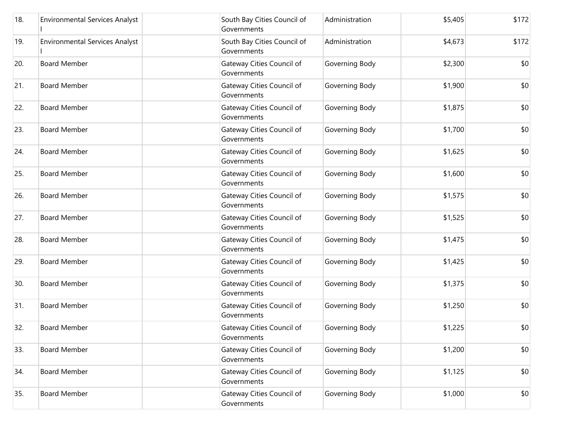| 18. | <b>Environmental Services Analyst</b> | South Bay Cities Council of<br>Governments | Administration | \$5,405 | \$172 |
|-----|---------------------------------------|--------------------------------------------|----------------|---------|-------|
| 19. | <b>Environmental Services Analyst</b> | South Bay Cities Council of<br>Governments | Administration | \$4,673 | \$172 |
| 20. | <b>Board Member</b>                   | Gateway Cities Council of<br>Governments   | Governing Body | \$2,300 | \$0   |
| 21. | <b>Board Member</b>                   | Gateway Cities Council of<br>Governments   | Governing Body | \$1,900 | \$0   |
| 22. | <b>Board Member</b>                   | Gateway Cities Council of<br>Governments   | Governing Body | \$1,875 | \$0   |
| 23. | <b>Board Member</b>                   | Gateway Cities Council of<br>Governments   | Governing Body | \$1,700 | \$0   |
| 24. | <b>Board Member</b>                   | Gateway Cities Council of<br>Governments   | Governing Body | \$1,625 | \$0   |
| 25. | <b>Board Member</b>                   | Gateway Cities Council of<br>Governments   | Governing Body | \$1,600 | \$0   |
| 26. | <b>Board Member</b>                   | Gateway Cities Council of<br>Governments   | Governing Body | \$1,575 | \$0   |
| 27. | <b>Board Member</b>                   | Gateway Cities Council of<br>Governments   | Governing Body | \$1,525 | \$0   |
| 28. | <b>Board Member</b>                   | Gateway Cities Council of<br>Governments   | Governing Body | \$1,475 | \$0   |
| 29. | <b>Board Member</b>                   | Gateway Cities Council of<br>Governments   | Governing Body | \$1,425 | \$0   |
| 30. | <b>Board Member</b>                   | Gateway Cities Council of<br>Governments   | Governing Body | \$1,375 | \$0   |
| 31. | <b>Board Member</b>                   | Gateway Cities Council of<br>Governments   | Governing Body | \$1,250 | \$0   |
| 32. | <b>Board Member</b>                   | Gateway Cities Council of<br>Governments   | Governing Body | \$1,225 | \$0   |
| 33. | <b>Board Member</b>                   | Gateway Cities Council of<br>Governments   | Governing Body | \$1,200 | \$0   |
| 34. | <b>Board Member</b>                   | Gateway Cities Council of<br>Governments   | Governing Body | \$1,125 | \$0   |
| 35. | <b>Board Member</b>                   | Gateway Cities Council of<br>Governments   | Governing Body | \$1,000 | \$0   |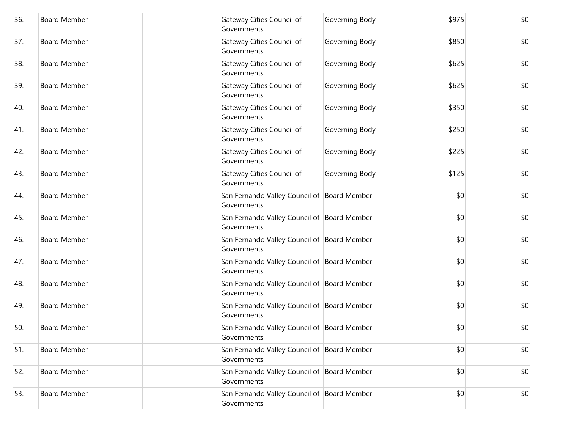| 36. | <b>Board Member</b> | Gateway Cities Council of<br>Governments                   | Governing Body | \$975 | \$0 |
|-----|---------------------|------------------------------------------------------------|----------------|-------|-----|
| 37. | <b>Board Member</b> | Gateway Cities Council of<br>Governments                   | Governing Body | \$850 | \$0 |
| 38. | <b>Board Member</b> | Gateway Cities Council of<br>Governments                   | Governing Body | \$625 | \$0 |
| 39. | <b>Board Member</b> | Gateway Cities Council of<br>Governments                   | Governing Body | \$625 | \$0 |
| 40. | <b>Board Member</b> | Gateway Cities Council of<br>Governments                   | Governing Body | \$350 | \$0 |
| 41. | <b>Board Member</b> | Gateway Cities Council of<br>Governments                   | Governing Body | \$250 | \$0 |
| 42. | <b>Board Member</b> | Gateway Cities Council of<br>Governments                   | Governing Body | \$225 | \$0 |
| 43. | <b>Board Member</b> | Gateway Cities Council of<br>Governments                   | Governing Body | \$125 | \$0 |
| 44. | <b>Board Member</b> | San Fernando Valley Council of Board Member<br>Governments |                | \$0   | \$0 |
| 45. | <b>Board Member</b> | San Fernando Valley Council of Board Member<br>Governments |                | \$0   | \$0 |
| 46. | <b>Board Member</b> | San Fernando Valley Council of Board Member<br>Governments |                | \$0   | \$0 |
| 47. | <b>Board Member</b> | San Fernando Valley Council of Board Member<br>Governments |                | \$0   | \$0 |
| 48. | <b>Board Member</b> | San Fernando Valley Council of Board Member<br>Governments |                | \$0   | \$0 |
| 49. | <b>Board Member</b> | San Fernando Valley Council of Board Member<br>Governments |                | \$0   | \$0 |
| 50. | <b>Board Member</b> | San Fernando Valley Council of Board Member<br>Governments |                | \$0   | \$0 |
| 51. | <b>Board Member</b> | San Fernando Valley Council of Board Member<br>Governments |                | \$0   | \$0 |
| 52. | <b>Board Member</b> | San Fernando Valley Council of Board Member<br>Governments |                | \$0   | \$0 |
| 53. | <b>Board Member</b> | San Fernando Valley Council of Board Member<br>Governments |                | \$0   | \$0 |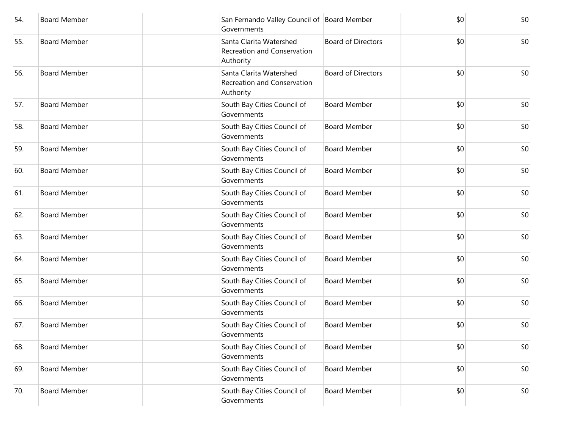| 54. | <b>Board Member</b> | San Fernando Valley Council of Board Member<br>Governments          |                           | \$0 | \$0 |
|-----|---------------------|---------------------------------------------------------------------|---------------------------|-----|-----|
| 55. | <b>Board Member</b> | Santa Clarita Watershed<br>Recreation and Conservation<br>Authority | <b>Board of Directors</b> | \$0 | \$0 |
| 56. | <b>Board Member</b> | Santa Clarita Watershed<br>Recreation and Conservation<br>Authority | <b>Board of Directors</b> | \$0 | \$0 |
| 57. | <b>Board Member</b> | South Bay Cities Council of<br>Governments                          | <b>Board Member</b>       | \$0 | \$0 |
| 58. | <b>Board Member</b> | South Bay Cities Council of<br>Governments                          | <b>Board Member</b>       | \$0 | \$0 |
| 59. | <b>Board Member</b> | South Bay Cities Council of<br>Governments                          | <b>Board Member</b>       | \$0 | \$0 |
| 60. | <b>Board Member</b> | South Bay Cities Council of<br>Governments                          | <b>Board Member</b>       | \$0 | \$0 |
| 61. | <b>Board Member</b> | South Bay Cities Council of<br>Governments                          | <b>Board Member</b>       | \$0 | \$0 |
| 62. | <b>Board Member</b> | South Bay Cities Council of<br>Governments                          | <b>Board Member</b>       | \$0 | \$0 |
| 63. | <b>Board Member</b> | South Bay Cities Council of<br>Governments                          | <b>Board Member</b>       | \$0 | \$0 |
| 64. | <b>Board Member</b> | South Bay Cities Council of<br>Governments                          | <b>Board Member</b>       | \$0 | \$0 |
| 65. | <b>Board Member</b> | South Bay Cities Council of<br>Governments                          | <b>Board Member</b>       | \$0 | \$0 |
| 66. | <b>Board Member</b> | South Bay Cities Council of<br>Governments                          | <b>Board Member</b>       | \$0 | \$0 |
| 67. | <b>Board Member</b> | South Bay Cities Council of<br>Governments                          | <b>Board Member</b>       | \$0 | \$0 |
| 68. | <b>Board Member</b> | South Bay Cities Council of<br>Governments                          | <b>Board Member</b>       | \$0 | \$0 |
| 69. | <b>Board Member</b> | South Bay Cities Council of<br>Governments                          | <b>Board Member</b>       | \$0 | \$0 |
| 70. | <b>Board Member</b> | South Bay Cities Council of<br>Governments                          | <b>Board Member</b>       | \$0 | \$0 |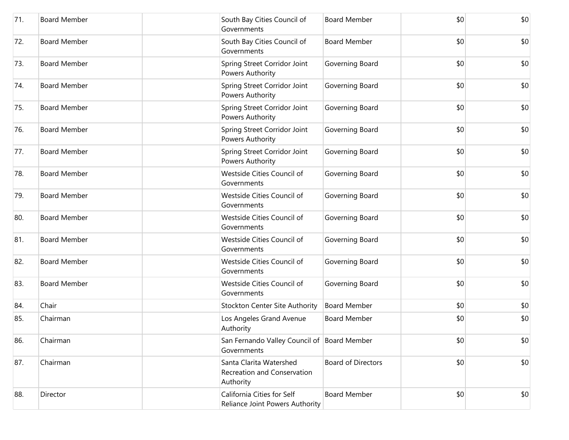| 71. | <b>Board Member</b> | South Bay Cities Council of<br>Governments                          | <b>Board Member</b>       | \$0 | \$0 |
|-----|---------------------|---------------------------------------------------------------------|---------------------------|-----|-----|
| 72. | <b>Board Member</b> | South Bay Cities Council of<br>Governments                          | <b>Board Member</b>       | \$0 | \$0 |
| 73. | <b>Board Member</b> | Spring Street Corridor Joint<br>Powers Authority                    | Governing Board           | \$0 | \$0 |
| 74. | <b>Board Member</b> | Spring Street Corridor Joint<br>Powers Authority                    | Governing Board           | \$0 | \$0 |
| 75. | <b>Board Member</b> | Spring Street Corridor Joint<br>Powers Authority                    | Governing Board           | \$0 | \$0 |
| 76. | <b>Board Member</b> | Spring Street Corridor Joint<br>Powers Authority                    | Governing Board           | \$0 | \$0 |
| 77. | <b>Board Member</b> | Spring Street Corridor Joint<br>Powers Authority                    | Governing Board           | \$0 | \$0 |
| 78. | <b>Board Member</b> | Westside Cities Council of<br>Governments                           | Governing Board           | \$0 | \$0 |
| 79. | <b>Board Member</b> | Westside Cities Council of<br>Governments                           | Governing Board           | \$0 | \$0 |
| 80. | <b>Board Member</b> | Westside Cities Council of<br>Governments                           | Governing Board           | \$0 | \$0 |
| 81. | <b>Board Member</b> | Westside Cities Council of<br>Governments                           | Governing Board           | \$0 | \$0 |
| 82. | <b>Board Member</b> | Westside Cities Council of<br>Governments                           | Governing Board           | \$0 | \$0 |
| 83. | <b>Board Member</b> | Westside Cities Council of<br>Governments                           | Governing Board           | \$0 | \$0 |
| 84. | Chair               | <b>Stockton Center Site Authority</b>                               | <b>Board Member</b>       | \$0 | \$0 |
| 85. | Chairman            | Los Angeles Grand Avenue<br>Authority                               | <b>Board Member</b>       | \$0 | \$0 |
| 86. | Chairman            | San Fernando Valley Council of Board Member<br>Governments          |                           | \$0 | \$0 |
| 87. | Chairman            | Santa Clarita Watershed<br>Recreation and Conservation<br>Authority | <b>Board of Directors</b> | \$0 | \$0 |
| 88. | Director            | California Cities for Self<br>Reliance Joint Powers Authority       | <b>Board Member</b>       | \$0 | \$0 |